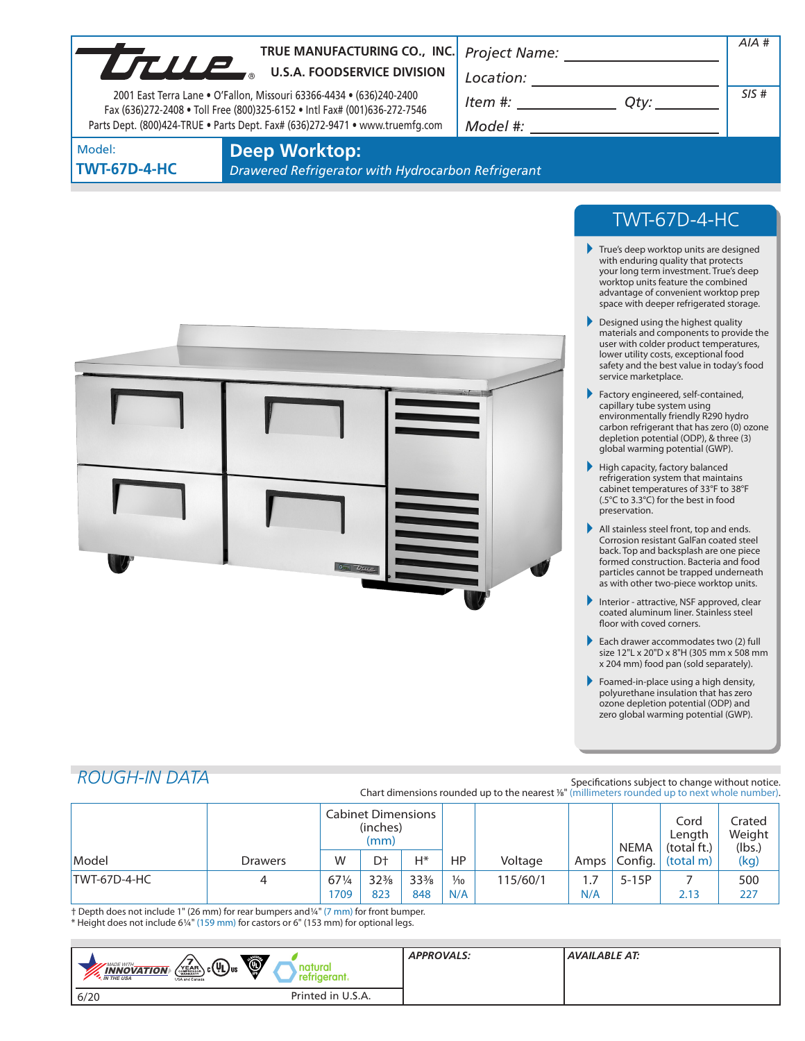| LTLLE                         | TRUE MANUFACTURING CO., INC.<br><b>U.S.A. FOODSERVICE DIVISION</b><br>2001 East Terra Lane • O'Fallon, Missouri 63366-4434 • (636)240-2400<br>Fax (636)272-2408 . Toll Free (800)325-6152 . Intl Fax# (001)636-272-7546<br>Parts Dept. (800)424-TRUE . Parts Dept. Fax# (636)272-9471 . www.truemfg.com | Project Name:<br>Location:<br>Item #:<br>Qty:<br>Model #: | AIA #<br>SIS# |
|-------------------------------|---------------------------------------------------------------------------------------------------------------------------------------------------------------------------------------------------------------------------------------------------------------------------------------------------------|-----------------------------------------------------------|---------------|
| Model:<br><b>TWT-67D-4-HC</b> | <b>Deep Worktop:</b><br>Drawered Refrigerator with Hydrocarbon Refrigerant                                                                                                                                                                                                                              |                                                           |               |
|                               |                                                                                                                                                                                                                                                                                                         | _ _ _ _ _ _                                               |               |



## TWT-67D-4-HC

- True's deep worktop units are designed with enduring quality that protects your long term investment. True's deep worktop units feature the combined advantage of convenient worktop prep space with deeper refrigerated storage.
- Designed using the highest quality materials and components to provide the user with colder product temperatures, lower utility costs, exceptional food safety and the best value in today's food service marketplace.
- Factory engineered, self-contained, capillary tube system using environmentally friendly R290 hydro carbon refrigerant that has zero (0) ozone depletion potential (ODP), & three (3) global warming potential (GWP).
- $\blacktriangleright$  High capacity, factory balanced refrigeration system that maintains cabinet temperatures of 33°F to 38°F (.5°C to 3.3°C) for the best in food preservation.
- All stainless steel front, top and ends. Corrosion resistant GalFan coated steel back. Top and backsplash are one piece formed construction. Bacteria and food particles cannot be trapped underneath as with other two-piece worktop units.
- Interior attractive, NSF approved, clear coated aluminum liner. Stainless steel floor with coved corners.
- Each drawer accommodates two (2) full size 12"L x 20"D x 8"H (305 mm x 508 mm x 204 mm) food pan (sold separately).
- Foamed-in-place using a high density, polyurethane insulation that has zero ozone depletion potential (ODP) and zero global warming potential (GWP).

# *ROUGH-IN DATA*

Specifications subject to change without notice. Chart dimensions rounded up to the nearest %" (millimeters rounded up to next whole number).

|              |                | <b>Cabinet Dimensions</b><br>(inches)<br>(mm) |                 |                 |                | <b>NEMA</b> | Cord<br>Lenath<br>(total ft.) | Crated<br>Weight<br>(lbs.) |           |      |
|--------------|----------------|-----------------------------------------------|-----------------|-----------------|----------------|-------------|-------------------------------|----------------------------|-----------|------|
| Model        | <b>Drawers</b> | W                                             | D†              | Н*              | HP             | Voltage     | Amps I                        | Config.                    | (total m) | (kg) |
| TWT-67D-4-HC | 4              | 671/4                                         | $32\frac{3}{8}$ | $33\frac{3}{8}$ | $\frac{1}{10}$ | 115/60/1    | 1.7                           | $5-15P$                    |           | 500  |
|              |                | 709                                           | 823             | 848             | N/A            |             | N/A                           |                            | 2.13      | 227  |

† Depth does not include 1" (26 mm) for rear bumpers and1/4" (7 mm) for front bumper. \* Height does not include 61/4" (159 mm) for castors or 6" (153 mm) for optional legs.

| Ö<br>$\lambda_{\rm c}(\Psi_{\rm L})_{\rm us}$<br>MADE WITH<br>natural<br>YEAR<br>$\frac{1}{\sqrt{N}}$ $\frac{1}{\sqrt{N}}$ $\frac{1}{\sqrt{N}}$ $\frac{1}{\sqrt{N}}$ $\frac{1}{\sqrt{N}}$ $\frac{1}{\sqrt{N}}$<br>retrigerant.<br>USA and Canada | <b>APPROVALS:</b> | AVAILABLE AT: |
|--------------------------------------------------------------------------------------------------------------------------------------------------------------------------------------------------------------------------------------------------|-------------------|---------------|
| Printed in U.S.A.<br>6/20                                                                                                                                                                                                                        |                   |               |